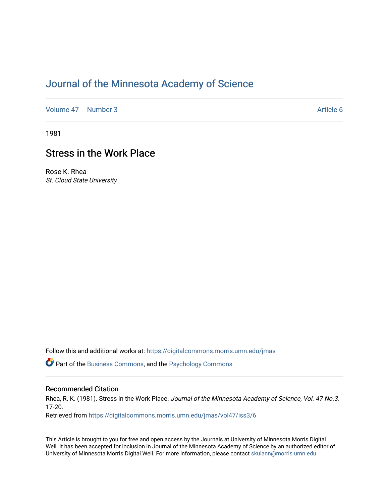# [Journal of the Minnesota Academy of Science](https://digitalcommons.morris.umn.edu/jmas)

[Volume 47](https://digitalcommons.morris.umn.edu/jmas/vol47) | [Number 3](https://digitalcommons.morris.umn.edu/jmas/vol47/iss3) Article 6

1981

## Stress in the Work Place

Rose K. Rhea St. Cloud State University

Follow this and additional works at: [https://digitalcommons.morris.umn.edu/jmas](https://digitalcommons.morris.umn.edu/jmas?utm_source=digitalcommons.morris.umn.edu%2Fjmas%2Fvol47%2Fiss3%2F6&utm_medium=PDF&utm_campaign=PDFCoverPages) 

Part of the [Business Commons](https://network.bepress.com/hgg/discipline/622?utm_source=digitalcommons.morris.umn.edu%2Fjmas%2Fvol47%2Fiss3%2F6&utm_medium=PDF&utm_campaign=PDFCoverPages), and the [Psychology Commons](https://network.bepress.com/hgg/discipline/404?utm_source=digitalcommons.morris.umn.edu%2Fjmas%2Fvol47%2Fiss3%2F6&utm_medium=PDF&utm_campaign=PDFCoverPages) 

### Recommended Citation

Rhea, R. K. (1981). Stress in the Work Place. Journal of the Minnesota Academy of Science, Vol. 47 No.3, 17-20.

Retrieved from [https://digitalcommons.morris.umn.edu/jmas/vol47/iss3/6](https://digitalcommons.morris.umn.edu/jmas/vol47/iss3/6?utm_source=digitalcommons.morris.umn.edu%2Fjmas%2Fvol47%2Fiss3%2F6&utm_medium=PDF&utm_campaign=PDFCoverPages)

This Article is brought to you for free and open access by the Journals at University of Minnesota Morris Digital Well. It has been accepted for inclusion in Journal of the Minnesota Academy of Science by an authorized editor of University of Minnesota Morris Digital Well. For more information, please contact [skulann@morris.umn.edu](mailto:skulann@morris.umn.edu).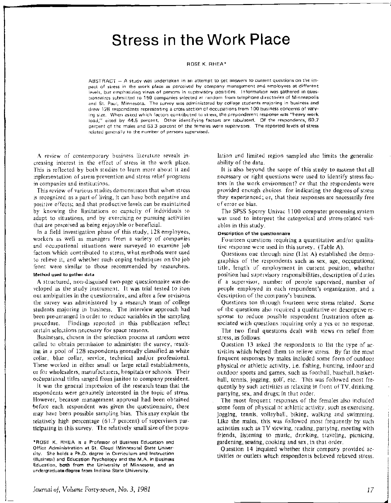# **Stress in the Work Place**

#### ROSE K. RHEA\*

ABSTRACT - A study was undertaken in an attempt to get answers to current questions on the impact of stress in the work place as perceived by company management and employees at different levels, but emphasizing views of persons in supervisory positions. Information was gathered in questionnaires submitted to 150 companies selected at random from telephone directories of Minneapolis and St. Paul, Minnesota. The survey was administered by college students majoring in business and drew 128 respondents representing a cross-section of occupations from 100 business concerns of varying size. When asked which factors contributed to stress, the preponderent response was "heavy work load," cited by 44.5 percent. Other identifying factors are tabulated. Of the respondents, 60.7 percent of the males and 63.3 percent of the females were supervisors. The reported levels of stress related generally to the number of persons supervised.

A review of contemporary business literature reveals increasing interest in the effect of stress in the work place. This is reflected by both studies to learn more about it and inplementation of stress prevention and stress relief programs in companies and institutions.

This review of various studies demonstrates that when stress is recognized as a part of living, it can have both negative and positive effects; and that productive levels can be maintained by knowing the limitations or capacity of individuals to adapt to situations, and by exercising or pursuing activities that are perceived as being enjoyable or beneficial.

In a field investigation phase of this study, 128 employees, workers as well as managers from a variety of companies and occupational situations were surveyed to examine job factors which contributed to stress, what methods were used to relieve it, and whether such coping techniques on the job front were similar to those recommended by researchers. Method used to gather data

A structured, non-disguised two-page questionnaire was developed as the study instrument. It was trial tested to iron out ambiguities in the questionnaire, and after a few revisions the survey was administered by a research team of college students majoring in business. The interview approach had been pre-arranged in order to reduce variables in the sampling procedure. Findings reported in this publication reflect certain selections necessary for space reasons.

Businesses, chosen in the selection process at random were called to obtain permission to administer the survey, resulting in a pool of 128 respondents generally classified as white collar, blue collar, service, technical and/or professional. These worked in either small or large retail establishments, or for wholesalers, manufacturers, hospitals or schools. Their occupational titles ranged from janitor to company president\_

It was the general impression of the research team that the respondents were genuinely interested in the topic of stress. However, because management approval had been obtained before each respondent was given the questionnaire, there may have been possible sampling bias. This may explain the relatively high percentage (6L7 percent) of supervisors participating in this survey. The relatively small size of the popu-

\*ROSE K. RHEA is a Professor of Business Education and Office Administration at St. Cloud (Minnesota) State University. She holds a Ph.D. degree in Curriculum and Instruction (Business) and Education Psychology and the M.A. in Business Education, both from the University of Minnesota, and an undergraduate degree from Indiana State University.

lation and limited region sampled also limits the generalizability of the data.

It is also beyond the scope of this study to assume that all necessary or right questions were used to identify stress factors in the work environment? or that the respondents were provided enough choices for indicating the degrees of stress they experienced; or, that their responses are necessarily free of error or bias.

The SPSS Sperry Univac 1100 computer processing system was used to interpret the categorical and stress-related variables in this study.

#### Description of the questionnaire

Fourteen questions requiring a quantitative and/or qualitative response were used in this survey. (Table A).

Questions one through nine (List A) established the demographics of the respondents such as sex, age, occupational title, length of employment in current position, whether position had supervisory responsibilities, description of duties if a supervisor, number of people supervised, number of people employed in each respondent's organization, and a description of the company's business.

Questions ten through fourteen were stress related. Some of the questions also required a qualitative or descriptive response to reduce possible respondent frustration often associated with questions requiring only a yes or no response.

The two final questions dealt with views on relief from stress, as follows:

Question 13 asked the respondents to list the type of activities which helped them to relieve stress. By far the most frequent responses by males included some form of outdoor physical or athletic activity, i.e. fishing, hunting, indoor and outdoor sports and games, such as football, baseball, basketball, tennis, jogging, golf, etc. This was followed most frequently by such activities as relaxing in front of TV, drinking, partying, sex, and drugs; in that order.

The most frequent responses of the females also included some form of physical or athletic activity, such as exercising, jogging, tennis, volleyball, biking, walking and swimming. Like the males, this was followed most frequently by such activities such as TV viewing, reading, partying, meeting with friends, listening to music, drinking, traveling, picnicing, gardening, sewing, cooking and sex, in that order.

Question 14 inquired whether their company provided activities or outlets which respondents believed relieved stress.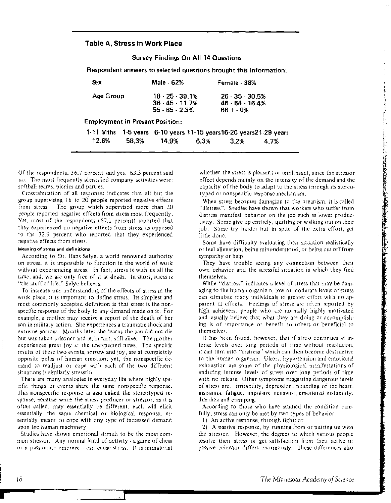#### **Table A, Stress in Work Place**

**Survey Findings On All 14 Questions** 

**Respondent answers to selected questions brought this information:** 

| Sex                                    | Male 62%                                                  | Female - 38%                                                 |
|----------------------------------------|-----------------------------------------------------------|--------------------------------------------------------------|
| Age Group                              | $18 - 25 - 39.1%$<br>$36 - 45 - 11.7%$<br>$55 - 65 - 23%$ | $26 \cdot 35 \cdot 30.5\%$<br>$46 - 54 - 16.4%$<br>$66 + 0%$ |
| <b>Employment in Present Position:</b> |                                                           |                                                              |

**1-11 Mths 1-5 years 6-10 years 11-15 years16-20 years21-29 years 12.6% 58.3% 14.9% 6.3% 3.2% 4.7%** 

Of the respondents, 36.7 percent said yes. 63.3 percent said no. The most frequently identified company activities were: softball teams, picnics and parties.

C'rosstabulation of all responses indicates that all but the group supervising 16 to 20 people reported negative effects from stress. The group which supervised more than 20 people reported negative effects from stress most frequently. Yet, most of the respondents (67.1 percent) reported that they experienced no negative effects from stress, as opposed to the 32.9 percent who reported that they experienced negative effects from stress. ·

#### Meaning of stress and definitions

According to Dr. Hans Selye, a world renowned authority on stress, it is impossible to function in the world of work without experiencing stress. In fact, stress is with us all the time; and, we are only free of it at death. In short, stress is "the stuff of life," Selye believes.

To increase our understanding of the effects of stress in the work place, it is important to define stress. Its simplest and most commonly accepted definition is that stress is the nonspecific response of the body to any demand made on it. For example, a mother may receive a report of the death of her son in military action. She experiences a traumatic shock and extreme sorrow. Months later she learns the son did not die but was taken prisoner and is, in fact, still alive. The mother experiences great joy at the unexpected news. The specific results of these two events, sorrow and joy, are at completely opposite poles of human emotion; yet, the nonspecific demand to readjust or cope with each of the two different situations is similarly stressful.

There are many analogies in everyday life where highly specific things or events share the same nonspecific response. This nonspecific response is also called the stereotyped response, because while the stress producer or stressor, as it is often called, may essentially be different, each will elicit essentially the same chemical or biological response, essentially meant to cope with any type of increased demand upon the human machinery.

Studies have shown emotional stimuli to be the most common stressor. Any normal kind of activity - a game of chess or a passionate embrace - can cause stress. It is immaterial whether the stress is pleasant or unpleasant, since the stressor effect depends mainly on the intensity of the demand and the capacity of the body to adapt to the stress through its stereotyped or nonspecific response mechanism.

When stress becomes damaging to the organism, it is called "distress". Studies have shown that workers who suffer from distress manifest behavior on the job such as lower productivity. Some give up entirely, quitting or walking out on their job. Some try harder but in spite of the extra effort, get little done.

○ 小学院は後の様に、保存を確定に実現の実施を実施の事業を実施する場所の あいまま

Some have difficulty evaluating their situation realistically or feel alienation, being minunderstood, or being cut off from sympathy or help.

They have trouble seeing any connection between their own behavior and the stressful situation in which they find themselves.

While "distress" indicates a level of stress that may be damaging to the human organizm, low or moderate levels of stress can stimulate many individuals to greater effort with no apparent ill effects. Feelings of stress are often reported by high achievers, people who are normally highly motivated and usually believe that what they are doing or accomplishing is of importance or benefit to others or beneficial to themselves.

It has been found, however, that if stress continues at intense levels over long periods of time without resolution, it can turn into "distress" which can then become destructive to the human organism. Ulcers, hypertension and emotional exhaustion are some of the physiological manifestations of enduring intense levels of stress over long periods of time with no release. Other symptoms suggesting dangerous levels of stress are: irritability, depression, pounding of the heart, insomnia, fatigue, impulsive behavior, emotional instability, diarrhea and cramping.

According to those who have studied the condition carefully, stress can only be met by two types of behavior:

1) An active response, through fight; or

2) A passive response, by running from or putting up with the stressor. However, the degrees to which various people resolve their stress or get satisfaction from their active or passive behavior differs enormously. These differences also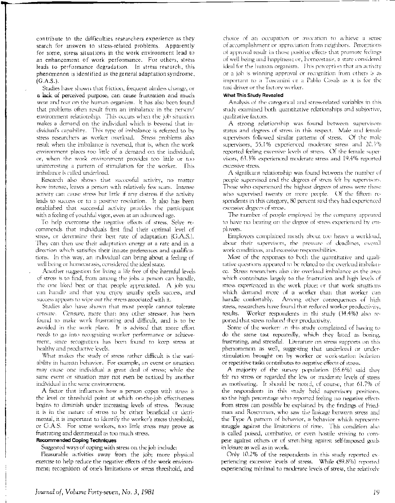contribute to the difficulties researchers experience as they search for answers to stress-related problems. Apparently for some, stress situations in the work environment lead to an enhancement of work performance. For others, stress leads to performance degradation. ln stress research, this phenomenon is identified as the general adaptation syndrome, (G.A.S.).

Studies have shown that friction, frequent aimless change, or a lack of perceived purpose, can cause frustration and much wear and tear on the human organism. It has also been found that problems often result from an imbalance in the person/ environment relationship. This occurs when the job situation makes a demand on the individual which is beyond that individual's capability. This type of imbalance is referred to by stress researchers as worker overload. Stress problems also result when the imbalance is reversed, that is, when the work environment places too little of a demand on the individual; or, when the work environment provides too little or too uninteresting a pattern of stimulation for the worker. This imbalance is called underload.

Research also shows that successful activity, no matter how intense, leaves a person with relatively few scars. Intense activity can cause stress but little if any distress if the activity leads to success or to a positive resolution. It also has been established that successful activity provides the participant with a feeling of youthful vigor, even at an advanced age.

To help overcome the negative effects of stress, Selye recommends that individuals first find their optimal level of stress, or determine their best rate of adaptation (G.A.S.). They can then use their adaptation energy at a rate and in a direction which satisifies their innate preferences and qualifications. In this way, an individual can bring about a feeling of well being or homeostasis, considered the ideal state.

Another suggestion for living a life free of the harmful levels of stress is to find, from among the jobs a person can handle, the one liked best or that people appreciated. A job you can handle and that you enjoy usually spells success, and success appears to wipe out the stress associated with it.

Studies also have shown that most people cannot tolerate censure. Censure, more than any other stressor, has been found to make work frustrating and difficult, and is to be avoided in the work place. It is advised that more effort needs to go into recognizing worker performance or achievement, since recognition has been found to keep stress at healthy and productive levels.

What makes the study of stress rather difficult is the variability in human behavior. For example, an event or situation may cause one individual a great deal of stress; while the same event or situation may not even be noticed by another indiVidual in the same environment.

A factor that influences how a person copes with stress is the level or threshold point at which on-the-job effectiveness begins to diminish under increasing levels of stress. Because it is in the nature of stress to be either beneficial or detrimental, it is important to identify the worker's stress threshold, or G.A.S. For some workers, too little stress may prove as frustrating and detrimental as too much stress.

#### **Recommended Coping Techniques**

Suggested ways of coping with stress on the job include:

Pleasurable activities away from the job; more physical exercise to help reduce the negative effects of the work environment; recognition of one's limitations or stress threshold, and

choice of an occupation or avocation to achieve a sense of accomplishment or appreciation from neighbors. Perceptions of approval result in those positive effects that promote feelings of well being and happiness; or, homeostasis, a state considered ideal for the human organism. This perception that an activity or a job is winning approval or recognition from others is as important to a Toscanini or a Pablo Casals as it is for the taxi driver or the factory worker.

#### **What This Study Revealed**

Analysis of the categorical and stress-related variables in this study examined both quantitative relationships and subjective, qualitative factors.

A strong relationship was found between supervisors status and degrees of stress in this respect. Male and female supervisors followed similar patterns of stress. Of the male supervisors, 55.1% experienced moderate stress and 20.3% reported feeling excessive levels of stress. Of the female supervisors, 63.3% experienced moderate stress and 19.4% reported excessive stress.

A significant relationship was found between the number of people supervised and the degrees of stress felt by supervisors. Those who experienced the highest degrees of stress were those who supervised twenty or more people. Of the fifteen respondents in this category, 80 percent said they had experienced excessive degrees of stress.

The number of people employed by the company appeared to haye no bearing on the degree of stress experienced by employees.

Employees complained mostly about too heavy a workload, about their supervisors, the pressure of deadlines, overall work conditions, and excessive responsibilities.

Most of the responses to both the quantitative and qualitative questions appeared to be related to the overload imbalance. Stress researchers also cite overload imbalance as the area which contributes largely to the frustration and high levels of stress experienced in the work place; or that work situations which demand more of a worker than that worker can handle confortably. Among other consequences of high stress, researchers have found that reduced worker productivity, results. Worker respoudents in thi study (34.4%) also reported that stress reduced their productivity.

Some of the workers in this study complained of having to do the same tast repearedly, which they listed as boring, frustrating, and stressful. Literature on stress supports on this phenomenon as well, suggesting that underload or understimulation brought on by worker or work-station isolation or repetitive tasks contributes to negative effects of stress.

A majority of the survey population (65.6%) said they felt no stress or regarded the low or moderate levels of stress as motivating. It should be noted, of course, that 61.7% of the respondents in this study held supervisory positions, so the high percentage who reported feeling no negative effects from stress can possibly be explained by the findings of Friedman and Rosenman, who saw the linkage between stress and the Type A pattern of behavior, a behavior which represents struggle against the limitations of time. This condition also is called poised, combative, or even hostile striving to compete against others or of stretching against self-imposed goals in leisure as well as in work.

Only 10.2% of the respondents in this study reported experiencing excessive levels of stress. While (89.8%) reported experiencing minimal to moderate levels of stress, the relatively